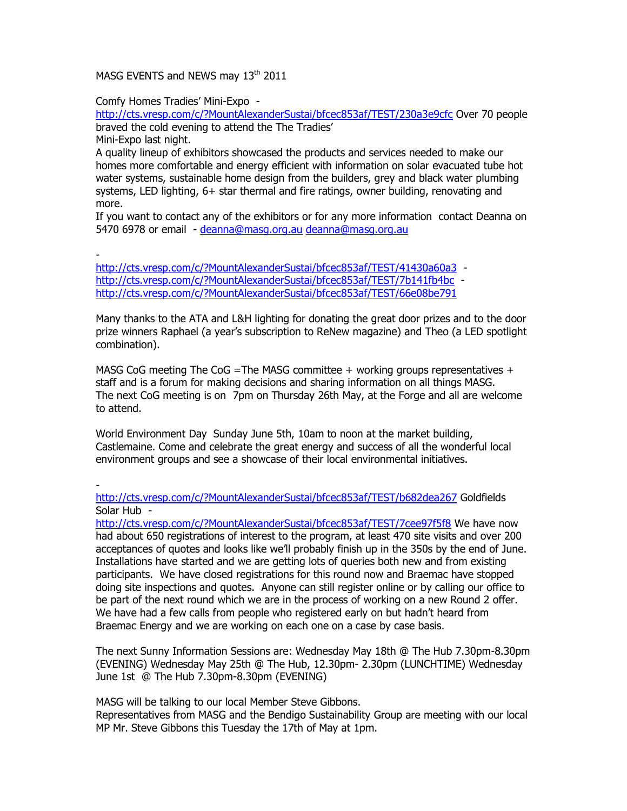MASG EVENTS and NEWS may 13<sup>th</sup> 2011

Comfy Homes Tradies' Mini-Expo -

http://cts.vresp.com/c/?MountAlexanderSustai/bfcec853af/TEST/230a3e9cfc Over 70 people braved the cold evening to attend the The Tradies'

Mini-Expo last night.

A quality lineup of exhibitors showcased the products and services needed to make our homes more comfortable and energy efficient with information on solar evacuated tube hot water systems, sustainable home design from the builders, grey and black water plumbing systems, LED lighting, 6+ star thermal and fire ratings, owner building, renovating and more.

If you want to contact any of the exhibitors or for any more information contact Deanna on 5470 6978 or email - deanna@masg.org.au deanna@masg.org.au

-

http://cts.vresp.com/c/?MountAlexanderSustai/bfcec853af/TEST/41430a60a3 http://cts.yresp.com/c/?MountAlexanderSustai/bfcec853af/TEST/7b141fb4bc http://cts.vresp.com/c/?MountAlexanderSustai/bfcec853af/TEST/66e08be791

Many thanks to the ATA and L&H lighting for donating the great door prizes and to the door prize winners Raphael (a year's subscription to ReNew magazine) and Theo (a LED spotlight combination).

MASG CoG meeting The CoG = The MASG committee  $+$  working groups representatives  $+$ staff and is a forum for making decisions and sharing information on all things MASG. The next CoG meeting is on 7pm on Thursday 26th May, at the Forge and all are welcome to attend.

World Environment Day Sunday June 5th, 10am to noon at the market building, Castlemaine. Come and celebrate the great energy and success of all the wonderful local environment groups and see a showcase of their local environmental initiatives.

 http://cts.vresp.com/c/?MountAlexanderSustai/bfcec853af/TEST/b682dea267 Goldfields Solar Hub -

http://cts.vresp.com/c/?MountAlexanderSustai/bfcec853af/TEST/7cee97f5f8 We have now had about 650 registrations of interest to the program, at least 470 site visits and over 200 acceptances of quotes and looks like we'll probably finish up in the 350s by the end of June. Installations have started and we are getting lots of queries both new and from existing participants. We have closed registrations for this round now and Braemac have stopped doing site inspections and quotes. Anyone can still register online or by calling our office to be part of the next round which we are in the process of working on a new Round 2 offer. We have had a few calls from people who registered early on but hadn't heard from Braemac Energy and we are working on each one on a case by case basis.

The next Sunny Information Sessions are: Wednesday May 18th @ The Hub 7.30pm-8.30pm (EVENING) Wednesday May 25th @ The Hub, 12.30pm- 2.30pm (LUNCHTIME) Wednesday June 1st @ The Hub 7.30pm-8.30pm (EVENING)

MASG will be talking to our local Member Steve Gibbons.

Representatives from MASG and the Bendigo Sustainability Group are meeting with our local MP Mr. Steve Gibbons this Tuesday the 17th of May at 1pm.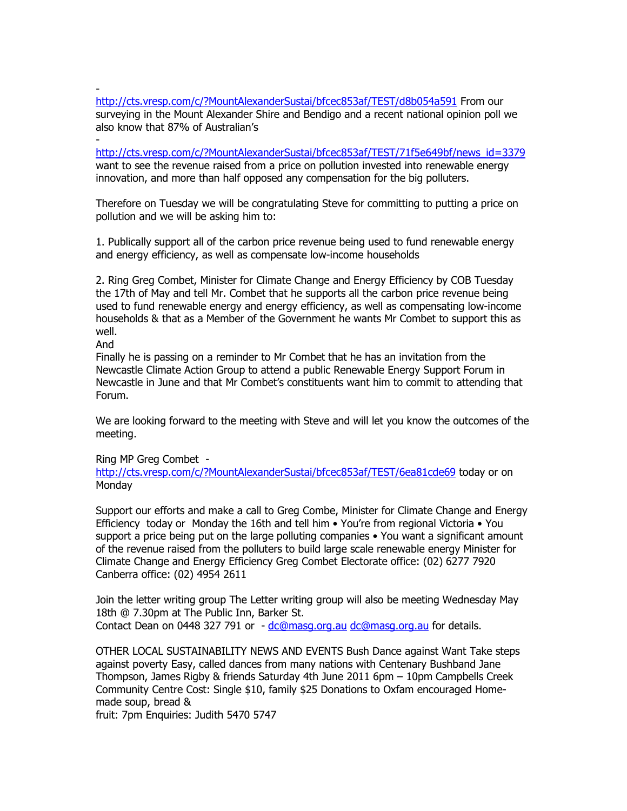http://cts.vresp.com/c/?MountAlexanderSustai/bfcec853af/TEST/d8b054a591 From our surveying in the Mount Alexander Shire and Bendigo and a recent national opinion poll we also know that 87% of Australian's

 http://cts.vresp.com/c/?MountAlexanderSustai/bfcec853af/TEST/71f5e649bf/news\_id=3379 want to see the revenue raised from a price on pollution invested into renewable energy innovation, and more than half opposed any compensation for the big polluters.

Therefore on Tuesday we will be congratulating Steve for committing to putting a price on pollution and we will be asking him to:

1. Publically support all of the carbon price revenue being used to fund renewable energy and energy efficiency, as well as compensate low-income households

2. Ring Greg Combet, Minister for Climate Change and Energy Efficiency by COB Tuesday the 17th of May and tell Mr. Combet that he supports all the carbon price revenue being used to fund renewable energy and energy efficiency, as well as compensating low-income households & that as a Member of the Government he wants Mr Combet to support this as well.

And

Finally he is passing on a reminder to Mr Combet that he has an invitation from the Newcastle Climate Action Group to attend a public Renewable Energy Support Forum in Newcastle in June and that Mr Combet's constituents want him to commit to attending that Forum.

We are looking forward to the meeting with Steve and will let you know the outcomes of the meeting.

Ring MP Greg Combet -

http://cts.vresp.com/c/?MountAlexanderSustai/bfcec853af/TEST/6ea81cde69 today or on Monday

Support our efforts and make a call to Greg Combe, Minister for Climate Change and Energy Efficiency today or Monday the 16th and tell him • You're from regional Victoria • You support a price being put on the large polluting companies • You want a significant amount of the revenue raised from the polluters to build large scale renewable energy Minister for Climate Change and Energy Efficiency Greg Combet Electorate office: (02) 6277 7920 Canberra office: (02) 4954 2611

Join the letter writing group The Letter writing group will also be meeting Wednesday May 18th @ 7.30pm at The Public Inn, Barker St. Contact Dean on 0448 327 791 or - dc@masg.org.au dc@masg.org.au for details.

OTHER LOCAL SUSTAINABILITY NEWS AND EVENTS Bush Dance against Want Take steps against poverty Easy, called dances from many nations with Centenary Bushband Jane Thompson, James Rigby & friends Saturday 4th June 2011 6pm – 10pm Campbells Creek Community Centre Cost: Single \$10, family \$25 Donations to Oxfam encouraged Homemade soup, bread &

fruit: 7pm Enquiries: Judith 5470 5747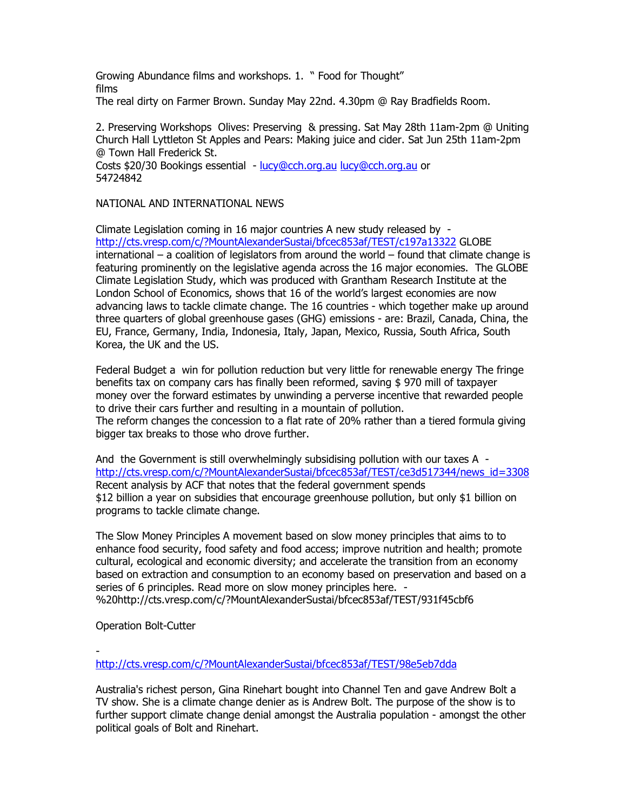Growing Abundance films and workshops. 1. " Food for Thought" films The real dirty on Farmer Brown. Sunday May 22nd. 4.30pm @ Ray Bradfields Room.

2. Preserving Workshops Olives: Preserving & pressing. Sat May 28th 11am-2pm @ Uniting Church Hall Lyttleton St Apples and Pears: Making juice and cider. Sat Jun 25th 11am-2pm @ Town Hall Frederick St. Costs \$20/30 Bookings essential - lucy@cch.org.au lucy@cch.org.au or

54724842

## NATIONAL AND INTERNATIONAL NEWS

Climate Legislation coming in 16 major countries A new study released by http://cts.vresp.com/c/?MountAlexanderSustai/bfcec853af/TEST/c197a13322 GLOBE international – a coalition of legislators from around the world – found that climate change is featuring prominently on the legislative agenda across the 16 major economies. The GLOBE Climate Legislation Study, which was produced with Grantham Research Institute at the London School of Economics, shows that 16 of the world's largest economies are now advancing laws to tackle climate change. The 16 countries - which together make up around three quarters of global greenhouse gases (GHG) emissions - are: Brazil, Canada, China, the EU, France, Germany, India, Indonesia, Italy, Japan, Mexico, Russia, South Africa, South Korea, the UK and the US.

Federal Budget a win for pollution reduction but very little for renewable energy The fringe benefits tax on company cars has finally been reformed, saving \$ 970 mill of taxpayer money over the forward estimates by unwinding a perverse incentive that rewarded people to drive their cars further and resulting in a mountain of pollution. The reform changes the concession to a flat rate of 20% rather than a tiered formula giving bigger tax breaks to those who drove further.

And the Government is still overwhelmingly subsidising pollution with our taxes A http://cts.vresp.com/c/?MountAlexanderSustai/bfcec853af/TEST/ce3d517344/news\_id=3308 Recent analysis by ACF that notes that the federal government spends \$12 billion a year on subsidies that encourage greenhouse pollution, but only \$1 billion on programs to tackle climate change.

The Slow Money Principles A movement based on slow money principles that aims to to enhance food security, food safety and food access; improve nutrition and health; promote cultural, ecological and economic diversity; and accelerate the transition from an economy based on extraction and consumption to an economy based on preservation and based on a series of 6 principles. Read more on slow money principles here. - %20http://cts.vresp.com/c/?MountAlexanderSustai/bfcec853af/TEST/931f45cbf6

Operation Bolt-Cutter

 http://cts.vresp.com/c/?MountAlexanderSustai/bfcec853af/TEST/98e5eb7dda

Australia's richest person, Gina Rinehart bought into Channel Ten and gave Andrew Bolt a TV show. She is a climate change denier as is Andrew Bolt. The purpose of the show is to further support climate change denial amongst the Australia population - amongst the other political goals of Bolt and Rinehart.